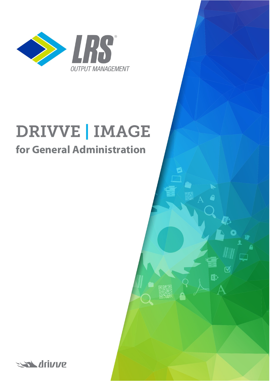

# **DRIVVE | IMAGE**

## **for General Administration**

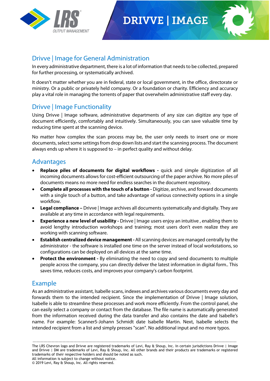

## **DRIVVE | IMAGE**



### Drivve | Image for General Administration

In every administrative department, there is a lot of information that needs to be collected, prepared for further processing, or systematically archived.

It doesn't matter whether you are in federal, state or local government, in the office, directorate or ministry. Or a public or privately held company. Or a foundation or charity. Efficiency and accuracy play a vital role in managing the torrents of paper that overwhelm administrative staff every day.

#### Drivve | Image Functionality

Using Drivve | Image software, administrative departments of any size can digitize any type of document efficiently, comfortably and intuitively. Simultaneously, you can save valuable time by reducing time spent at the scanning device.

No matter how complex the scan process may be, the user only needs to insert one or more documents, select some settings from drop down lists and start the scanning process. The document always ends up where it is supposed to – in perfect quality and without delay.

#### Advantages

- **Replace piles of documents for digital workflows -** quick and simple digitization of all incoming documents allows for cost-efficient outsourcing of the paper archive. No more piles of documents means no more need for endless searches in the document repository.
- **Complete all processes with the touch of a button -** Digitize, archive, and forward documents with a single touch of a button, and take advantage of various connectivity options in a single workflow.
- **Legal compliance –** Drivve | Image archives all documents systematically and digitally. They are available at any time in accordance with legal requirements.
- **Experience a new level of usability -** Drivve | Image users enjoy an intuitive , enabling them to avoid lengthy introduction workshops and training; most users don't even realize they are working with scanning software.
- **Establish centralized device management -** All scanning devices are managed centrally by the administrator - the software is installed one time on the server instead of local workstations, so configurations can be deployed on all devices at the same time.
- **Protect the environment -** By eliminating the need to copy and send documents to multiple people across the company, you can directly deliver the latest information in digital form.. This saves time, reduces costs, and improves your company's carbon footprint.

#### Example

As an administrative assistant, Isabelle scans, indexes and archives various documents every day and forwards them to the intended recipient. Since the implementation of Drivve | Image solution, Isabelle is able to streamline these processes and work more efficiently. From the control panel, she can easily select a company or contact from the database. The file name is automatically generated from the information received during the data transfer and also contains the date and Isabelle's name. For example: Scanner5-Johann Schmidt date Isabelle Martin. Next, Isabelle selects the intended recipient from a list and simply presses "scan". No additional input and no more typos.